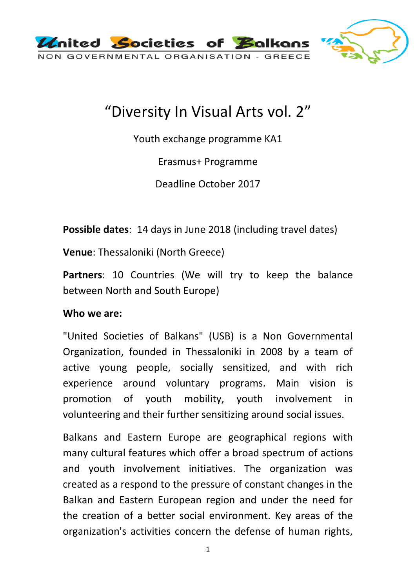

# "Diversity In Visual Arts vol. 2"

Youth exchange programme KA1

Erasmus+ Programme

Deadline October 2017

**Possible dates**: 14 days in June 2018 (including travel dates)

**Venue**: Thessaloniki (North Greece)

Partners: 10 Countries (We will try to keep the balance between North and South Europe)

## **Who we are:**

"United Societies of Balkans" (USB) is a Non Governmental Organization, founded in Thessaloniki in 2008 by a team of active young people, socially sensitized, and with rich experience around voluntary programs. Main vision is promotion of youth mobility, youth involvement in volunteering and their further sensitizing around social issues.

Balkans and Eastern Europe are geographical regions with many cultural features which offer a broad spectrum of actions and youth involvement initiatives. The organization was created as a respond to the pressure of constant changes in the Balkan and Eastern European region and under the need for the creation of a better social environment. Key areas of the organization's activities concern the defense of human rights,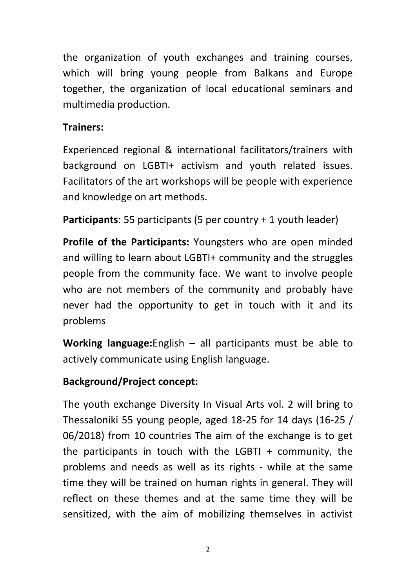the organization of youth exchanges and training courses, which will bring young people from Balkans and Europe together, the organization of local educational seminars and multimedia production.

## **Trainers:**

Experienced regional & international facilitators/trainers with background on LGBTI+ activism and youth related issues. Facilitators of the art workshops will be people with experience and knowledge on art methods.

**Participants**: 55 participants (5 per country + 1 youth leader)

**Profile of the Participants:** Youngsters who are open minded and willing to learn about LGBTI+ community and the struggles people from the community face. We want to involve people who are not members of the community and probably have never had the opportunity to get in touch with it and its problems

**Working language:**English – all participants must be able to actively communicate using English language.

## **Background/Project concept:**

The youth exchange Diversity In Visual Arts vol. 2 will bring to Thessaloniki 55 young people, aged 18-25 for 14 days (16-25 / 06/2018) from 10 countries The aim of the exchange is to get the participants in touch with the LGBTI  $+$  community, the problems and needs as well as its rights - while at the same time they will be trained on human rights in general. They will reflect on these themes and at the same time they will be sensitized, with the aim of mobilizing themselves in activist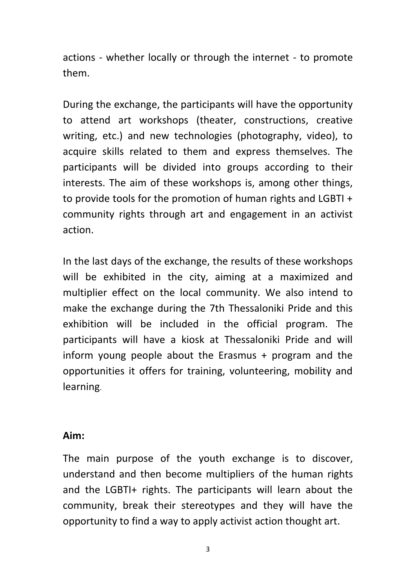actions - whether locally or through the internet - to promote them.

During the exchange, the participants will have the opportunity to attend art workshops (theater, constructions, creative writing, etc.) and new technologies (photography, video), to acquire skills related to them and express themselves. The participants will be divided into groups according to their interests. The aim of these workshops is, among other things, to provide tools for the promotion of human rights and LGBTI + community rights through art and engagement in an activist action.

In the last days of the exchange, the results of these workshops will be exhibited in the city, aiming at a maximized and multiplier effect on the local community. We also intend to make the exchange during the 7th Thessaloniki Pride and this exhibition will be included in the official program. The participants will have a kiosk at Thessaloniki Pride and will inform young people about the Erasmus + program and the opportunities it offers for training, volunteering, mobility and learning.

## **Aim:**

The main purpose of the youth exchange is to discover, understand and then become multipliers of the human rights and the LGBTI+ rights. The participants will learn about the community, break their stereotypes and they will have the opportunity to find a way to apply activist action thought art.

3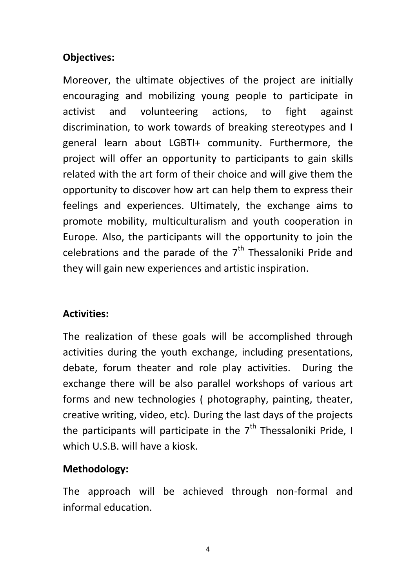## **Objectives:**

Moreover, the ultimate objectives of the project are initially encouraging and mobilizing young people to participate in activist and volunteering actions, to fight against discrimination, to work towards of breaking stereotypes and I general learn about LGBTI+ community. Furthermore, the project will offer an opportunity to participants to gain skills related with the art form of their choice and will give them the opportunity to discover how art can help them to express their feelings and experiences. Ultimately, the exchange aims to promote mobility, multiculturalism and youth cooperation in Europe. Also, the participants will the opportunity to join the celebrations and the parade of the  $7<sup>th</sup>$  Thessaloniki Pride and they will gain new experiences and artistic inspiration.

## **Activities:**

The realization of these goals will be accomplished through activities during the youth exchange, including presentations, debate, forum theater and role play activities. During the exchange there will be also parallel workshops of various art forms and new technologies ( photography, painting, theater, creative writing, video, etc). During the last days of the projects the participants will participate in the  $7<sup>th</sup>$  Thessaloniki Pride, I which U.S.B. will have a kiosk.

## **Methodology:**

The approach will be achieved through non-formal and informal education.

4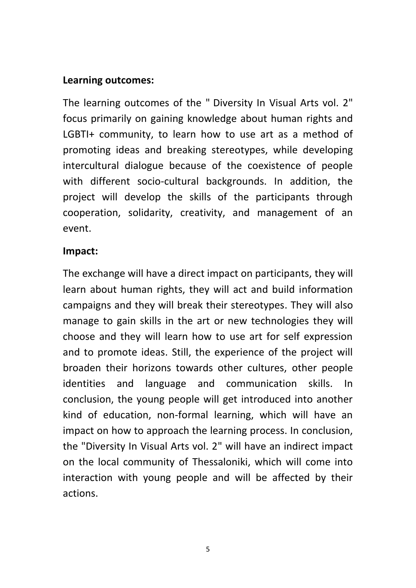## **Learning outcomes:**

The learning outcomes of the " Diversity In Visual Arts vol. 2" focus primarily on gaining knowledge about human rights and LGBTI+ community, to learn how to use art as a method of promoting ideas and breaking stereotypes, while developing intercultural dialogue because of the coexistence of people with different socio-cultural backgrounds. In addition, the project will develop the skills of the participants through cooperation, solidarity, creativity, and management of an event.

#### **Impact:**

The exchange will have a direct impact on participants, they will learn about human rights, they will act and build information campaigns and they will break their stereotypes. They will also manage to gain skills in the art or new technologies they will choose and they will learn how to use art for self expression and to promote ideas. Still, the experience of the project will broaden their horizons towards other cultures, other people identities and language and communication skills. In conclusion, the young people will get introduced into another kind of education, non-formal learning, which will have an impact on how to approach the learning process. In conclusion, the "Diversity In Visual Arts vol. 2" will have an indirect impact on the local community of Thessaloniki, which will come into interaction with young people and will be affected by their actions.